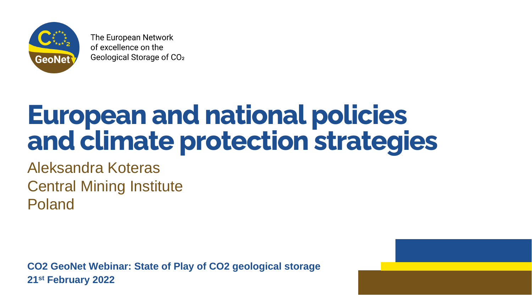

The European Network of excellence on the Geological Storage of CO<sub>2</sub>

# **European and national policies and climate protection strategies**

Aleksandra Koteras Central Mining Institute Poland

**CO2 GeoNet Webinar: State of Play of CO2 geological storage 21st February 2022**

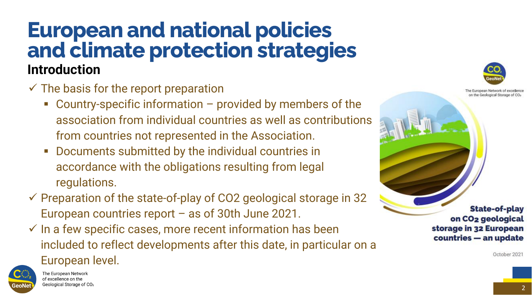#### **European and national policies and climate protection strategies Introduction**



- $\checkmark$  The basis for the report preparation
	- $\blacksquare$  Country-specific information  $-$  provided by members of the association from individual countries as well as contributions from countries not represented in the Association.
	- Documents submitted by the individual countries in accordance with the obligations resulting from legal regulations.
- $\checkmark$  Preparation of the state-of-play of CO2 geological storage in 32 European countries report – as of 30th June 2021.
- $\checkmark$  In a few specific cases, more recent information has been included to reflect developments after this date, in particular on a European level.



The European Network of excellence on the Geological Storage of CO<sub>2</sub>



European Network of

**State-of-play** on CO<sub>2</sub> geological storage in 32 European countries - an update

October 2021

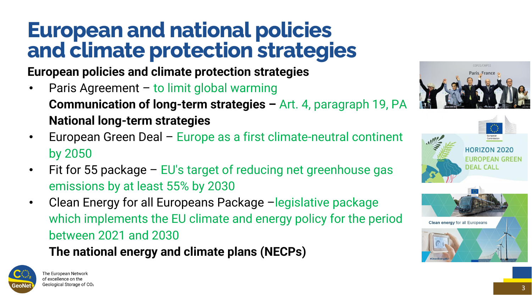## **European and national policies and climate protection strategies**



**European policies and climate protection strategies**

- Paris Agreement to limit global warming **Communication of long-term strategies –** Art. 4, paragraph 19, PA **National long-term strategies**
- European Green Deal Europe as a first climate-neutral continent by 2050
- Fit for 55 package EU's target of reducing net greenhouse gas emissions by at least 55% by 2030
- Clean Energy for all Europeans Package –legislative package which implements the EU climate and energy policy for the period between 2021 and 2030 **The national energy and climate plans (NECPs)**



The European Network of excellence on the Geological Storage of CO2





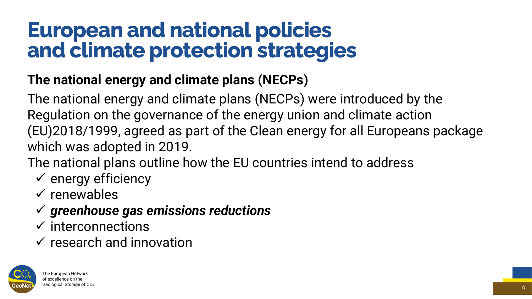#### **The national energy and climate plans (NECPs)**

### **European and national policies and climate protection strategies**



The national energy and climate plans (NECPs) were introduced by the Regulation on the governance of the energy union and climate action which was adopted in 2019. The national plans outline how the EU countries intend to address

- 
- (EU)2018/1999, agreed as part of the Clean energy for all Europeans package
	-
- ✓ energy efficiency
- ✓ renewables
- ✓ *greenhouse gas emissions reductions*
- ✓ interconnections
- ✓ research and innovation

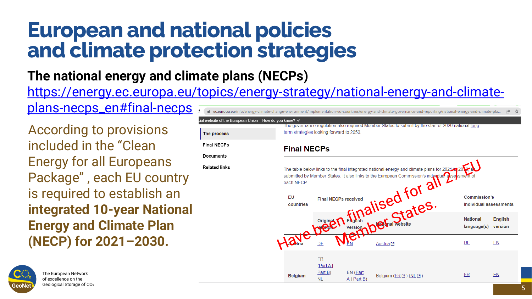[https://energy.ec.europa.eu/topics/energy-strategy/national-energy-and-climate](https://energy.ec.europa.eu/topics/energy-strategy/national-energy-and-climate-plans-necps_en#final-necps)plans-necps\_en#final-necps info/energy-climate-change-environment/implementation-eu-countries/energy-and-climate-governance-and-reporting/national-energy-and-climate-pla...

# **The national energy and climate plans (NECPs) European and national policies and climate protection strategies**

5

According to provisions included in the "Clean Energy for all Europeans Package" , each EU country is required to establish an **integrated 10-year National Energy and Climate Plan (NECP) for 2021–2030.** 





| Inion How do you know? $\vee$                                                                                                                                                                                                                                                                                                                                                                                                                                                                                                                                                                                                                                                         |                            |                    |                         |    |           |
|---------------------------------------------------------------------------------------------------------------------------------------------------------------------------------------------------------------------------------------------------------------------------------------------------------------------------------------------------------------------------------------------------------------------------------------------------------------------------------------------------------------------------------------------------------------------------------------------------------------------------------------------------------------------------------------|----------------------------|--------------------|-------------------------|----|-----------|
|                                                                                                                                                                                                                                                                                                                                                                                                                                                                                                                                                                                                                                                                                       |                            |                    |                         |    |           |
| The governance regulation also required Member States to submit by the start of 2020 national long<br>term strategies looking forward to 2050.<br><b>Final NECPs</b><br>The table below links to the final integrated national energy and climate plans for 2021 to 20.<br>submitted by Member States. It also links to the European Commission's individual assessment of<br>each NECP.<br>alised for all<br>EU<br><b>Commission's</b><br><b>Final NECPs received</b><br>countries<br>individual asses:<br><b>National</b><br>nal website<br>日本<br>language(s)<br>version.<br>$\blacksquare$<br>$\boldsymbol{\mathcal{N}}$<br>Vuotria<br>VEN<br><u>DЕ</u><br>DE<br><u>Austria [경</u> |                            |                    |                         |    |           |
|                                                                                                                                                                                                                                                                                                                                                                                                                                                                                                                                                                                                                                                                                       |                            |                    |                         |    |           |
|                                                                                                                                                                                                                                                                                                                                                                                                                                                                                                                                                                                                                                                                                       |                            |                    |                         |    |           |
|                                                                                                                                                                                                                                                                                                                                                                                                                                                                                                                                                                                                                                                                                       |                            |                    |                         |    | En<br>ver |
|                                                                                                                                                                                                                                                                                                                                                                                                                                                                                                                                                                                                                                                                                       |                            |                    |                         |    | <u>EN</u> |
|                                                                                                                                                                                                                                                                                                                                                                                                                                                                                                                                                                                                                                                                                       | FR.<br>(Part A)<br>Part B) | $EN$ (Part         |                         | ER | <u>EN</u> |
| <b>Belgium</b>                                                                                                                                                                                                                                                                                                                                                                                                                                                                                                                                                                                                                                                                        | <b>NL</b>                  | $\Delta$   Part B) | Belgium (ER M ) (NL M ) |    |           |





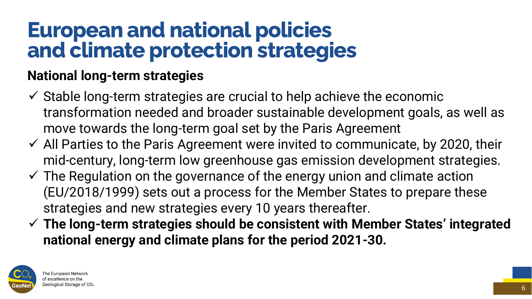#### **National long-term strategies**

### **European and national policies and climate protection strategies**



- $\checkmark$  Stable long-term strategies are crucial to help achieve the economic transformation needed and broader sustainable development goals, as well as move towards the long-term goal set by the Paris Agreement
- $\checkmark$  All Parties to the Paris Agreement were invited to communicate, by 2020, their mid-century, long-term low greenhouse gas emission development strategies.
- $\checkmark$  The Regulation on the governance of the energy union and climate action (EU/2018/1999) sets out a process for the Member States to prepare these strategies and new strategies every 10 years thereafter.
- ✓ **The long-term strategies should be consistent with Member States' integrated national energy and climate plans for the period 2021-30.**



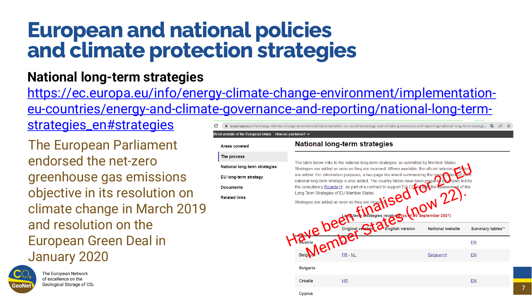#### **European and national policies and climate protection strategies**

**National long-term strategies** https://ec.europa.eu/info/energy-climate-change-environment/implementation[eu-countries/energy-and-climate-governance-and-reporting/national-long-term](https://ec.europa.eu/info/energy-climate-change-environment/implementation-eu-countries/energy-and-climate-governance-and-reporting/national-long-term-strategies_en#strategies)strategies\_en#strategies .eu/info/energy-climate-change-environment/implementation-eu-countries/energy-and-climate-governance-and-reporting/national-long-term-strategi..



The European Parliament endorsed the net-zero greenhouse gas emissions objective in its resolution on climate change in March 2019 and resolution on the European Green Deal in January 2020





The European Network of excellence on the Geological Storage of CO<sub>2</sub>

fficial website of the European Union How do you know?  $\vee$ 

#### **National long-term strategies**

| erm strategies |  |
|----------------|--|
|                |  |

| The table below links to the national long-term strategies, as submitted by Member States.<br>Strategies are added as soon as they are received. Where available, the official national websites<br>are added. For information purposes, a two-page document summarising the main content of each<br>national long-term strategy is also added. The country tables have been prepared by a team led by<br>the consultancy Ricardo M, as part of a contract to support DG CL M/ with the assessment of the<br>Long-Term Strategies of EU Member States.<br>Strategies are added as soon as they are received<br>dies received (as l<br>September 2021) |                                           |                         |                       |  |
|-------------------------------------------------------------------------------------------------------------------------------------------------------------------------------------------------------------------------------------------------------------------------------------------------------------------------------------------------------------------------------------------------------------------------------------------------------------------------------------------------------------------------------------------------------------------------------------------------------------------------------------------------------|-------------------------------------------|-------------------------|-----------------------|--|
|                                                                                                                                                                                                                                                                                                                                                                                                                                                                                                                                                                                                                                                       | Original versio<br><b>English version</b> | <b>National website</b> | <b>Summary tables</b> |  |
|                                                                                                                                                                                                                                                                                                                                                                                                                                                                                                                                                                                                                                                       |                                           |                         | <u>EN</u>             |  |
| <b>Belg</b>                                                                                                                                                                                                                                                                                                                                                                                                                                                                                                                                                                                                                                           | $ER - NL$                                 | <u>Belgium</u> [결       | EN <sub></sub>        |  |
| <b>Bulgaria</b>                                                                                                                                                                                                                                                                                                                                                                                                                                                                                                                                                                                                                                       |                                           |                         |                       |  |
| Croatia                                                                                                                                                                                                                                                                                                                                                                                                                                                                                                                                                                                                                                               | HR                                        |                         | EN                    |  |
| Cyprus                                                                                                                                                                                                                                                                                                                                                                                                                                                                                                                                                                                                                                                |                                           |                         |                       |  |





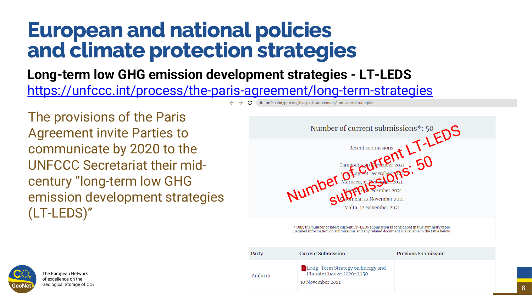**Long-term low GHG emission development strategies - LT-LEDS** <https://unfccc.int/process/the-paris-agreement/long-term-strategies>

#### **European and national policies and climate protection strategies**



The provisions of the Paris Agreement invite Parties to communicate by 2020 to the UNFCCC Secretariat their midcentury "long-term low GHG emission development strategies (LT-LEDS)"





\* Only the number of latest current LT-LEDS submission is considered in this summary table.<br>Detailed information on submissions and any related document is available in the table below.

Malta, 12 November 2021

| Party   | <b>Current Submission</b>                                                        | <b>Previous Submission</b> |
|---------|----------------------------------------------------------------------------------|----------------------------|
| Andorra | Long-Term Strategy on Energy and<br>Climate Change 2020-2050<br>10 November 2021 |                            |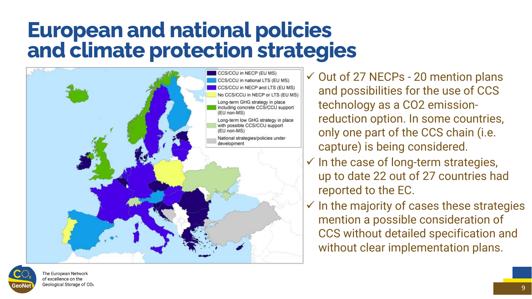### **European and national policies and climate protection strategies**





The European Network of excellence on the Geological Storage of CO2



✓ Out of 27 NECPs - 20 mention plans and possibilities for the use of CCS technology as a CO2 emissionreduction option. In some countries, only one part of the CCS chain (i.e. capture) is being considered.

- $\checkmark$  In the case of long-term strategies, up to date 22 out of 27 countries had reported to the EC.
- ✓ In the majority of cases these strategies mention a possible consideration of CCS without detailed specification and without clear implementation plans.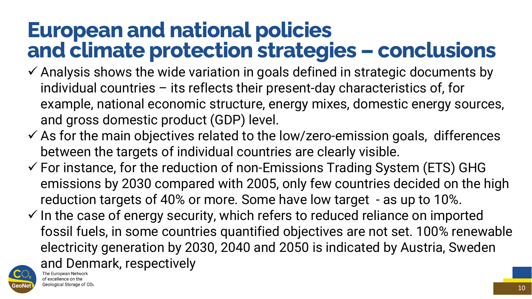#### **European and national policies and climate protection strategies – conclusions**

- $\checkmark$  Analysis shows the wide variation in goals defined in strategic documents by individual countries – its reflects their present-day characteristics of, for example, national economic structure, energy mixes, domestic energy sources, and gross domestic product (GDP) level.
- ✓ As for the main objectives related to the low/zero-emission goals, differences between the targets of individual countries are clearly visible.
- $\checkmark$  For instance, for the reduction of non-Emissions Trading System (ETS) GHG emissions by 2030 compared with 2005, only few countries decided on the high reduction targets of 40% or more. Some have low target - as up to 10%.
- $\checkmark$  In the case of energy security, which refers to reduced reliance on imported fossil fuels, in some countries quantified objectives are not set. 100% renewable electricity generation by 2030, 2040 and 2050 is indicated by Austria, Sweden and Denmark, respectively



of excellence on the Geological Storage of CO<sub>2</sub>







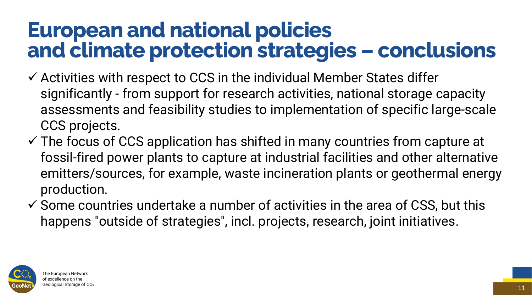significantly - from support for research activities, national storage capacity assessments and feasibility studies to implementation of specific large-scale

 $\checkmark$  The focus of CCS application has shifted in many countries from capture at fossil-fired power plants to capture at industrial facilities and other alternative emitters/sources, for example, waste incineration plants or geothermal energy

- ✓ Activities with respect to CCS in the individual Member States differ CCS projects.
- production.
- 



 $\checkmark$  Some countries undertake a number of activities in the area of CSS, but this happens "outside of strategies", incl. projects, research, joint initiatives.

#### **European and national policies and climate protection strategies – conclusions**